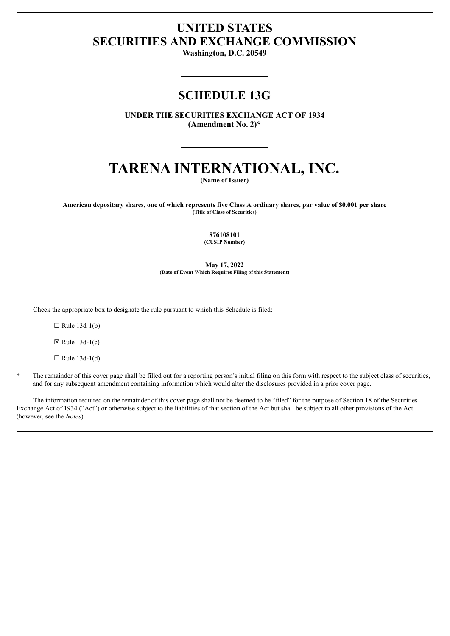# **UNITED STATES SECURITIES AND EXCHANGE COMMISSION**

**Washington, D.C. 20549**

# **SCHEDULE 13G**

**UNDER THE SECURITIES EXCHANGE ACT OF 1934 (Amendment No. 2)\***

# **TARENA INTERNATIONAL, INC.**

**(Name of Issuer)**

American depositary shares, one of which represents five Class A ordinary shares, par value of \$0.001 per share **(Title of Class of Securities)**

**876108101**

**(CUSIP Number)**

**May 17, 2022 (Date of Event Which Requires Filing of this Statement)**

Check the appropriate box to designate the rule pursuant to which this Schedule is filed:

 $\Box$  Rule 13d-1(b)

 $\boxtimes$  Rule 13d-1(c)

 $\Box$  Rule 13d-1(d)

The remainder of this cover page shall be filled out for a reporting person's initial filing on this form with respect to the subject class of securities, and for any subsequent amendment containing information which would alter the disclosures provided in a prior cover page.

The information required on the remainder of this cover page shall not be deemed to be "filed" for the purpose of Section 18 of the Securities Exchange Act of 1934 ("Act") or otherwise subject to the liabilities of that section of the Act but shall be subject to all other provisions of the Act (however, see the *Notes*).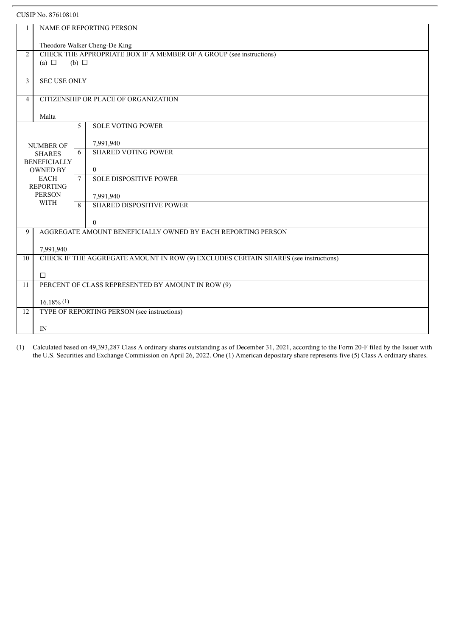| CUSIP No. 876108101                  |                              |                                                                                        |
|--------------------------------------|------------------------------|----------------------------------------------------------------------------------------|
|                                      |                              | NAME OF REPORTING PERSON                                                               |
|                                      |                              | Theodore Walker Cheng-De King                                                          |
| 2                                    | (a) $\Box$                   | CHECK THE APPROPRIATE BOX IF A MEMBER OF A GROUP (see instructions)<br>$(b)$ $\square$ |
| 3                                    | <b>SEC USE ONLY</b>          |                                                                                        |
| $\overline{4}$                       |                              | CITIZENSHIP OR PLACE OF ORGANIZATION                                                   |
|                                      | Malta                        |                                                                                        |
|                                      |                              | <b>SOLE VOTING POWER</b><br>5                                                          |
| <b>NUMBER OF</b>                     |                              | 7,991,940                                                                              |
| <b>SHARES</b><br><b>BENEFICIALLY</b> |                              | <b>SHARED VOTING POWER</b><br>6                                                        |
| <b>OWNED BY</b>                      |                              | $\theta$                                                                               |
| <b>EACH</b><br><b>REPORTING</b>      |                              | <b>SOLE DISPOSITIVE POWER</b><br>$\tau$                                                |
|                                      | <b>PERSON</b><br><b>WITH</b> | 7,991,940                                                                              |
|                                      |                              | <b>SHARED DISPOSITIVE POWER</b><br>$\mathbf{8}$                                        |
|                                      |                              | $\theta$                                                                               |
| 9                                    |                              | AGGREGATE AMOUNT BENEFICIALLY OWNED BY EACH REPORTING PERSON                           |
|                                      | 7,991,940                    |                                                                                        |
| 10                                   |                              | CHECK IF THE AGGREGATE AMOUNT IN ROW (9) EXCLUDES CERTAIN SHARES (see instructions)    |
|                                      | $\Box$                       |                                                                                        |
| 11                                   |                              | PERCENT OF CLASS REPRESENTED BY AMOUNT IN ROW (9)                                      |
|                                      | $16.18\%$ (1)                |                                                                                        |
| 12                                   |                              | TYPE OF REPORTING PERSON (see instructions)                                            |
|                                      | IN                           |                                                                                        |

(1) Calculated based on 49,393,287 Class A ordinary shares outstanding as of December 31, 2021, according to the Form 20-F filed by the Issuer with the U.S. Securities and Exchange Commission on April 26, 2022. One (1) American depositary share represents five (5) Class A ordinary shares.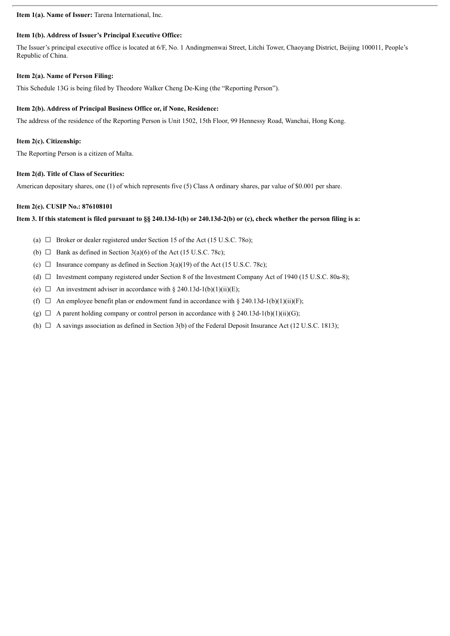**Item 1(a). Name of Issuer:** Tarena International, Inc.

## **Item 1(b). Address of Issuer's Principal Executive Office:**

The Issuer's principal executive office is located at 6/F, No. 1 Andingmenwai Street, Litchi Tower, Chaoyang District, Beijing 100011, People's Republic of China.

### **Item 2(a). Name of Person Filing:**

This Schedule 13G is being filed by Theodore Walker Cheng De-King (the "Reporting Person").

### **Item 2(b). Address of Principal Business Office or, if None, Residence:**

The address of the residence of the Reporting Person is Unit 1502, 15th Floor, 99 Hennessy Road, Wanchai, Hong Kong.

#### **Item 2(c). Citizenship:**

The Reporting Person is a citizen of Malta.

# **Item 2(d). Title of Class of Securities:**

American depositary shares, one (1) of which represents five (5) Class A ordinary shares, par value of \$0.001 per share.

# **Item 2(e). CUSIP No.: 876108101**

# Item 3. If this statement is filed pursuant to §§ 240.13d-1(b) or 240.13d-2(b) or (c), check whether the person filing is a:

- (a)  $\Box$  Broker or dealer registered under Section 15 of the Act (15 U.S.C. 780);
- (b)  $\Box$  Bank as defined in Section 3(a)(6) of the Act (15 U.S.C. 78c);
- (c)  $\Box$  Insurance company as defined in Section 3(a)(19) of the Act (15 U.S.C. 78c);
- (d)  $\Box$  Investment company registered under Section 8 of the Investment Company Act of 1940 (15 U.S.C. 80a-8);
- (e)  $\Box$  An investment adviser in accordance with § 240.13d-1(b)(1)(ii)(E);
- (f)  $\Box$  An employee benefit plan or endowment fund in accordance with § 240.13d-1(b)(1)(ii)(F);
- (g)  $\Box$  A parent holding company or control person in accordance with § 240.13d-1(b)(1)(ii)(G);
- (h)  $\Box$  A savings association as defined in Section 3(b) of the Federal Deposit Insurance Act (12 U.S.C. 1813);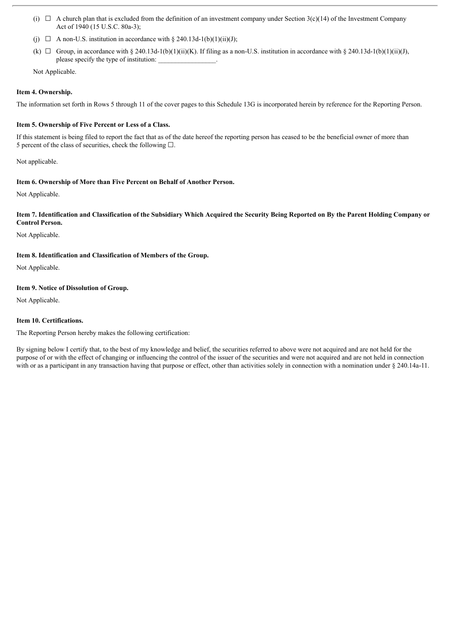- (i)  $\Box$  A church plan that is excluded from the definition of an investment company under Section 3(c)(14) of the Investment Company Act of 1940 (15 U.S.C. 80a-3);
- (j)  $\Box$  A non-U.S. institution in accordance with § 240.13d-1(b)(1)(ii)(J);
- (k)  $\Box$  Group, in accordance with § 240.13d-1(b)(1)(ii)(K). If filing as a non-U.S. institution in accordance with § 240.13d-1(b)(1)(ii)(J), please specify the type of institution:

Not Applicable.

## **Item 4. Ownership.**

The information set forth in Rows 5 through 11 of the cover pages to this Schedule 13G is incorporated herein by reference for the Reporting Person.

# **Item 5. Ownership of Five Percent or Less of a Class.**

If this statement is being filed to report the fact that as of the date hereof the reporting person has ceased to be the beneficial owner of more than 5 percent of the class of securities, check the following  $\Box$ .

Not applicable.

# **Item 6. Ownership of More than Five Percent on Behalf of Another Person.**

Not Applicable.

### Item 7. Identification and Classification of the Subsidiary Which Acquired the Security Being Reported on By the Parent Holding Company or **Control Person.**

Not Applicable.

# **Item 8. Identification and Classification of Members of the Group.**

Not Applicable.

# **Item 9. Notice of Dissolution of Group.**

Not Applicable.

# **Item 10. Certifications.**

The Reporting Person hereby makes the following certification:

By signing below I certify that, to the best of my knowledge and belief, the securities referred to above were not acquired and are not held for the purpose of or with the effect of changing or influencing the control of the issuer of the securities and were not acquired and are not held in connection with or as a participant in any transaction having that purpose or effect, other than activities solely in connection with a nomination under § 240.14a-11.